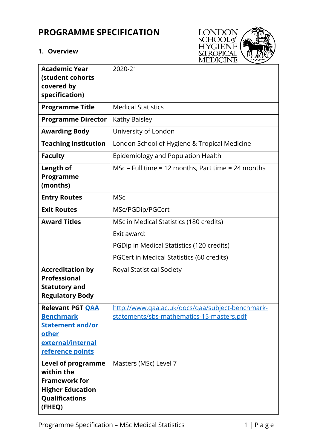# **PROGRAMME SPECIFICATION**

# **1. Overview**



| <b>Academic Year</b><br>(student cohorts<br>covered by<br>specification)                                                      | 2020-21                                                                                                                                          |
|-------------------------------------------------------------------------------------------------------------------------------|--------------------------------------------------------------------------------------------------------------------------------------------------|
| <b>Programme Title</b>                                                                                                        | <b>Medical Statistics</b>                                                                                                                        |
| <b>Programme Director</b>                                                                                                     | Kathy Baisley                                                                                                                                    |
| <b>Awarding Body</b>                                                                                                          | University of London                                                                                                                             |
| <b>Teaching Institution</b>                                                                                                   | London School of Hygiene & Tropical Medicine                                                                                                     |
| <b>Faculty</b>                                                                                                                | Epidemiology and Population Health                                                                                                               |
| Length of<br><b>Programme</b><br>(months)                                                                                     | MSc – Full time = 12 months, Part time = 24 months                                                                                               |
| <b>Entry Routes</b>                                                                                                           | <b>MSc</b>                                                                                                                                       |
| <b>Exit Routes</b>                                                                                                            | MSc/PGDip/PGCert                                                                                                                                 |
| <b>Award Titles</b>                                                                                                           | MSc in Medical Statistics (180 credits)<br>Exit award:<br>PGDip in Medical Statistics (120 credits)<br>PGCert in Medical Statistics (60 credits) |
| <b>Accreditation by</b><br><b>Professional</b><br><b>Statutory and</b><br><b>Regulatory Body</b>                              | <b>Royal Statistical Society</b>                                                                                                                 |
| <b>Relevant PGT QAA</b><br><b>Benchmark</b><br><b>Statement and/or</b><br>other<br>external/internal<br>reference points      | http://www.qaa.ac.uk/docs/qaa/subject-benchmark-<br>statements/sbs-mathematics-15-masters.pdf                                                    |
| <b>Level of programme</b><br>within the<br><b>Framework for</b><br><b>Higher Education</b><br><b>Qualifications</b><br>(FHEQ) | Masters (MSc) Level 7                                                                                                                            |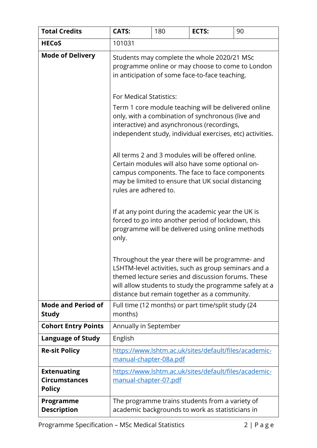| <b>Total Credits</b>                                        | <b>CATS:</b>                                                                                                                                                                                                                                                             | 180 | ECTS: | 90 |  |  |
|-------------------------------------------------------------|--------------------------------------------------------------------------------------------------------------------------------------------------------------------------------------------------------------------------------------------------------------------------|-----|-------|----|--|--|
| <b>HECoS</b>                                                | 101031                                                                                                                                                                                                                                                                   |     |       |    |  |  |
| <b>Mode of Delivery</b>                                     | Students may complete the whole 2020/21 MSc<br>programme online or may choose to come to London<br>in anticipation of some face-to-face teaching.<br><b>For Medical Statistics:</b><br>Term 1 core module teaching will be delivered online                              |     |       |    |  |  |
|                                                             | only, with a combination of synchronous (live and<br>interactive) and asynchronous (recordings,<br>independent study, individual exercises, etc) activities.                                                                                                             |     |       |    |  |  |
|                                                             | All terms 2 and 3 modules will be offered online.<br>Certain modules will also have some optional on-<br>campus components. The face to face components<br>may be limited to ensure that UK social distancing<br>rules are adhered to.                                   |     |       |    |  |  |
|                                                             | If at any point during the academic year the UK is<br>forced to go into another period of lockdown, this<br>programme will be delivered using online methods<br>only.                                                                                                    |     |       |    |  |  |
|                                                             | Throughout the year there will be programme- and<br>LSHTM-level activities, such as group seminars and a<br>themed lecture series and discussion forums. These<br>will allow students to study the programme safely at a<br>distance but remain together as a community. |     |       |    |  |  |
| <b>Mode and Period of</b><br><b>Study</b>                   | Full time (12 months) or part time/split study (24<br>months)                                                                                                                                                                                                            |     |       |    |  |  |
| <b>Cohort Entry Points</b>                                  | Annually in September                                                                                                                                                                                                                                                    |     |       |    |  |  |
| <b>Language of Study</b>                                    | English                                                                                                                                                                                                                                                                  |     |       |    |  |  |
| <b>Re-sit Policy</b>                                        | https://www.lshtm.ac.uk/sites/default/files/academic-<br>manual-chapter-08a.pdf                                                                                                                                                                                          |     |       |    |  |  |
| <b>Extenuating</b><br><b>Circumstances</b><br><b>Policy</b> | https://www.lshtm.ac.uk/sites/default/files/academic-<br>manual-chapter-07.pdf                                                                                                                                                                                           |     |       |    |  |  |
| Programme<br><b>Description</b>                             | The programme trains students from a variety of<br>academic backgrounds to work as statisticians in                                                                                                                                                                      |     |       |    |  |  |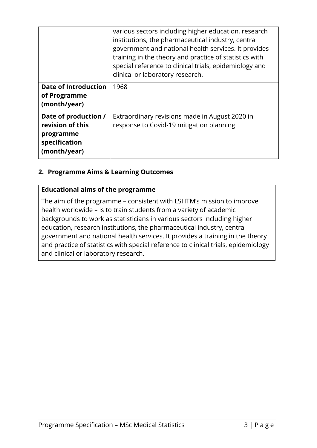|                                                                                        | various sectors including higher education, research<br>institutions, the pharmaceutical industry, central<br>government and national health services. It provides<br>training in the theory and practice of statistics with<br>special reference to clinical trials, epidemiology and<br>clinical or laboratory research. |
|----------------------------------------------------------------------------------------|----------------------------------------------------------------------------------------------------------------------------------------------------------------------------------------------------------------------------------------------------------------------------------------------------------------------------|
| <b>Date of Introduction</b><br>of Programme<br>(month/year)                            | 1968                                                                                                                                                                                                                                                                                                                       |
| Date of production /<br>revision of this<br>programme<br>specification<br>(month/year) | Extraordinary revisions made in August 2020 in<br>response to Covid-19 mitigation planning                                                                                                                                                                                                                                 |

# **2. Programme Aims & Learning Outcomes**

#### **Educational aims of the programme**

The aim of the programme – consistent with LSHTM's mission to improve health worldwide – is to train students from a variety of academic backgrounds to work as statisticians in various sectors including higher education, research institutions, the pharmaceutical industry, central government and national health services. It provides a training in the theory and practice of statistics with special reference to clinical trials, epidemiology and clinical or laboratory research.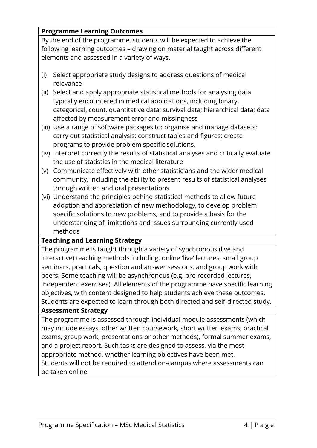# **Programme Learning Outcomes**

By the end of the programme, students will be expected to achieve the following learning outcomes – drawing on material taught across different elements and assessed in a variety of ways.

- (i) Select appropriate study designs to address questions of medical relevance
- (ii) Select and apply appropriate statistical methods for analysing data typically encountered in medical applications, including binary, categorical, count, quantitative data; survival data; hierarchical data; data affected by measurement error and missingness
- (iii) Use a range of software packages to: organise and manage datasets; carry out statistical analysis; construct tables and figures; create programs to provide problem specific solutions.
- (iv) Interpret correctly the results of statistical analyses and critically evaluate the use of statistics in the medical literature
- (v) Communicate effectively with other statisticians and the wider medical community, including the ability to present results of statistical analyses through written and oral presentations
- (vi) Understand the principles behind statistical methods to allow future adoption and appreciation of new methodology, to develop problem specific solutions to new problems, and to provide a basis for the understanding of limitations and issues surrounding currently used methods

## **Teaching and Learning Strategy**

The programme is taught through a variety of synchronous (live and interactive) teaching methods including: online 'live' lectures, small group seminars, practicals, question and answer sessions, and group work with peers. Some teaching will be asynchronous (e.g. pre-recorded lectures, independent exercises). All elements of the programme have specific learning objectives, with content designed to help students achieve these outcomes. Students are expected to learn through both directed and self-directed study.

## **Assessment Strategy**

The programme is assessed through individual module assessments (which may include essays, other written coursework, short written exams, practical exams, group work, presentations or other methods), formal summer exams, and a project report. Such tasks are designed to assess, via the most appropriate method, whether learning objectives have been met. Students will not be required to attend on-campus where assessments can be taken online.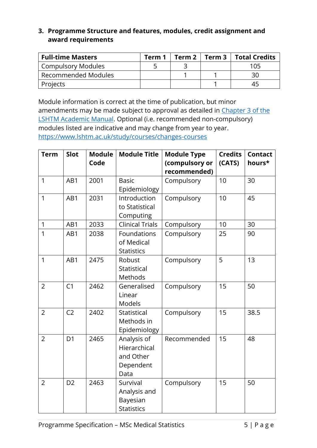# **3. Programme Structure and features, modules, credit assignment and award requirements**

| <b>Full-time Masters</b>  | Term $1 \mid$ Term $2 \mid$ | <b>Term 3</b> $\vert$ Total Credits |
|---------------------------|-----------------------------|-------------------------------------|
| <b>Compulsory Modules</b> |                             | 105                                 |
| Recommended Modules       |                             | 30                                  |
| Projects                  |                             |                                     |

Module information is correct at the time of publication, but minor amendments may be made subject to approval as detailed in Chapter 3 of the [LSHTM Academic Manual.](https://www.lshtm.ac.uk/sites/default/files/academic-manual-chapter-03.pdf) Optional (i.e. recommended non-compulsory) modules listed are indicative and may change from year to year. <https://www.lshtm.ac.uk/study/courses/changes-courses>

| Slot           | <b>Module</b><br>Code        | <b>Module Title</b>    | <b>Module Type</b><br>(compulsory or                                                                                                                                                         | <b>Credits</b><br>(CATS)                                              | <b>Contact</b><br>hours* |
|----------------|------------------------------|------------------------|----------------------------------------------------------------------------------------------------------------------------------------------------------------------------------------------|-----------------------------------------------------------------------|--------------------------|
|                |                              |                        |                                                                                                                                                                                              |                                                                       |                          |
|                |                              |                        |                                                                                                                                                                                              |                                                                       | 30                       |
|                |                              |                        |                                                                                                                                                                                              |                                                                       |                          |
|                |                              |                        |                                                                                                                                                                                              |                                                                       | 45                       |
|                |                              |                        |                                                                                                                                                                                              |                                                                       |                          |
|                |                              | Computing              |                                                                                                                                                                                              |                                                                       |                          |
| AB1            | 2033                         | <b>Clinical Trials</b> | Compulsory                                                                                                                                                                                   | 10                                                                    | 30                       |
| AB1            | 2038                         | Foundations            | Compulsory                                                                                                                                                                                   | 25                                                                    | 90                       |
|                |                              | of Medical             |                                                                                                                                                                                              |                                                                       |                          |
|                |                              | <b>Statistics</b>      |                                                                                                                                                                                              |                                                                       |                          |
| AB1            | 2475                         | Robust                 | Compulsory                                                                                                                                                                                   | 5                                                                     | 13                       |
|                |                              | Statistical            |                                                                                                                                                                                              |                                                                       |                          |
|                |                              | Methods                |                                                                                                                                                                                              |                                                                       |                          |
| C1             | 2462                         | Generalised            | Compulsory                                                                                                                                                                                   | 15                                                                    | 50                       |
|                |                              | Linear                 |                                                                                                                                                                                              |                                                                       |                          |
|                |                              | Models                 |                                                                                                                                                                                              |                                                                       |                          |
| C <sub>2</sub> | 2402                         | Statistical            | Compulsory                                                                                                                                                                                   | 15                                                                    | 38.5                     |
|                |                              | Methods in             |                                                                                                                                                                                              |                                                                       |                          |
|                |                              |                        |                                                                                                                                                                                              |                                                                       |                          |
| D <sub>1</sub> | 2465                         |                        |                                                                                                                                                                                              | 15                                                                    | 48                       |
|                |                              | Hierarchical           |                                                                                                                                                                                              |                                                                       |                          |
|                |                              |                        |                                                                                                                                                                                              |                                                                       |                          |
|                |                              |                        |                                                                                                                                                                                              |                                                                       |                          |
|                |                              |                        |                                                                                                                                                                                              |                                                                       |                          |
|                |                              |                        |                                                                                                                                                                                              |                                                                       | 50                       |
|                |                              |                        |                                                                                                                                                                                              |                                                                       |                          |
|                |                              |                        |                                                                                                                                                                                              |                                                                       |                          |
|                |                              |                        |                                                                                                                                                                                              |                                                                       |                          |
|                | AB1<br>AB1<br>D <sub>2</sub> | 2001<br>2031<br>2463   | <b>Basic</b><br>Epidemiology<br>Introduction<br>to Statistical<br>Epidemiology<br>Analysis of<br>and Other<br>Dependent<br>Data<br>Survival<br>Analysis and<br>Bayesian<br><b>Statistics</b> | recommended)<br>Compulsory<br>Compulsory<br>Recommended<br>Compulsory | 10<br>10<br>15           |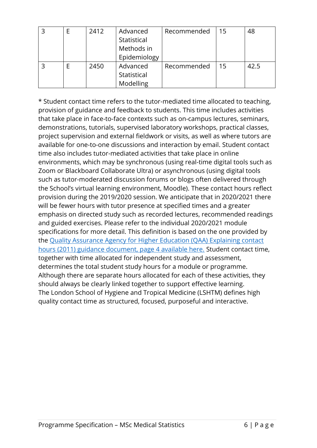|  | 2412 | Advanced<br>Statistical<br>Methods in<br>Epidemiology | Recommended | 15 | 48   |
|--|------|-------------------------------------------------------|-------------|----|------|
|  | 2450 | Advanced<br>Statistical<br>Modelling                  | Recommended | 15 | 42.5 |

\* Student contact time refers to the tutor-mediated time allocated to teaching, provision of guidance and feedback to students. This time includes activities that take place in face-to-face contexts such as on-campus lectures, seminars, demonstrations, tutorials, supervised laboratory workshops, practical classes, project supervision and external fieldwork or visits, as well as where tutors are available for one-to-one discussions and interaction by email. Student contact time also includes tutor-mediated activities that take place in online environments, which may be synchronous (using real-time digital tools such as Zoom or Blackboard Collaborate Ultra) or asynchronous (using digital tools such as tutor-moderated discussion forums or blogs often delivered through the School's virtual learning environment, Moodle). These contact hours reflect provision during the 2019/2020 session. We anticipate that in 2020/2021 there will be fewer hours with tutor presence at specified times and a greater emphasis on directed study such as recorded lectures, recommended readings and guided exercises. Please refer to the individual 2020/2021 module specifications for more detail. This definition is based on the one provided by the [Quality Assurance Agency for Higher Education \(QAA\) Explaining contact](https://www.qaa.ac.uk/docs/qaa/quality-code/contact-hours-guidance.pdf)  hours (2011) [guidance document, page 4 available here.](https://www.qaa.ac.uk/docs/qaa/quality-code/contact-hours-guidance.pdf) Student contact time, together with time allocated for independent study and assessment, determines the total student study hours for a module or programme. Although there are separate hours allocated for each of these activities, they should always be clearly linked together to support effective learning. The London School of Hygiene and Tropical Medicine (LSHTM) defines high quality contact time as structured, focused, purposeful and interactive.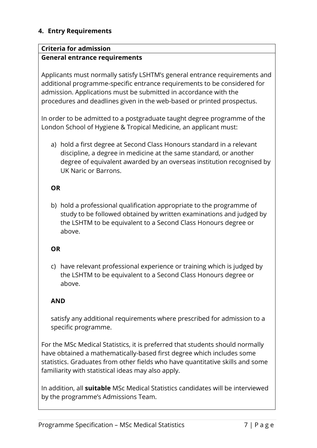## **4. Entry Requirements**

#### **Criteria for admission**

#### **General entrance requirements**

Applicants must normally satisfy LSHTM's general entrance requirements and additional programme-specific entrance requirements to be considered for admission. Applications must be submitted in accordance with the procedures and deadlines given in the web-based or printed prospectus.

In order to be admitted to a postgraduate taught degree programme of the London School of Hygiene & Tropical Medicine, an applicant must:

a) hold a first degree at Second Class Honours standard in a relevant discipline, a degree in medicine at the same standard, or another degree of equivalent awarded by an overseas institution recognised by UK Naric or Barrons.

#### **OR**

b) hold a professional qualification appropriate to the programme of study to be followed obtained by written examinations and judged by the LSHTM to be equivalent to a Second Class Honours degree or above.

## **OR**

c) have relevant professional experience or training which is judged by the LSHTM to be equivalent to a Second Class Honours degree or above.

## **AND**

satisfy any additional requirements where prescribed for admission to a specific programme.

For the MSc Medical Statistics, it is preferred that students should normally have obtained a mathematically-based first degree which includes some statistics. Graduates from other fields who have quantitative skills and some familiarity with statistical ideas may also apply.

In addition, all **suitable** MSc Medical Statistics candidates will be interviewed by the programme's Admissions Team.